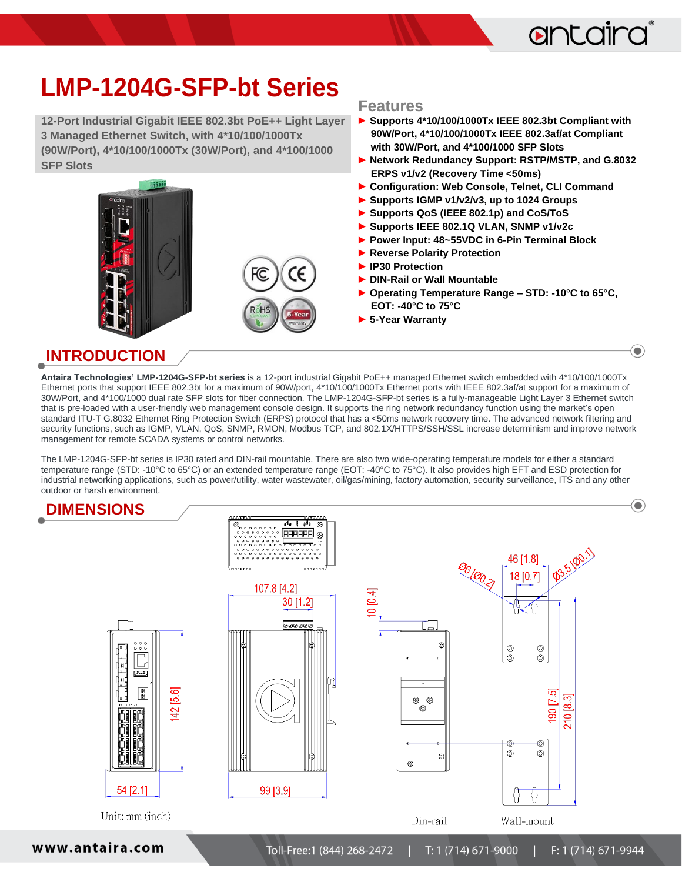## antaira

 $\left( \bullet \right)$ 

## **LMP-1204G-SFP-bt Series**

**12-Port Industrial Gigabit IEEE 802.3bt PoE++ Light Layer 3 Managed Ethernet Switch, with 4\*10/100/1000Tx (90W/Port), 4\*10/100/1000Tx (30W/Port), and 4\*100/1000 SFP Slots**

# $5555$ FС

#### **Features**

- **► Supports 4\*10/100/1000Tx IEEE 802.3bt Compliant with 90W/Port, 4\*10/100/1000Tx IEEE 802.3af/at Compliant with 30W/Port, and 4\*100/1000 SFP Slots**
- **► Network Redundancy Support: RSTP/MSTP, and G.8032 ERPS v1/v2 (Recovery Time <50ms)**
- **► Configuration: Web Console, Telnet, CLI Command**
- **► Supports IGMP v1/v2/v3, up to 1024 Groups**
- **► Supports QoS (IEEE 802.1p) and CoS/ToS**
- **► Supports IEEE 802.1Q VLAN, SNMP v1/v2c**
- **► Power Input: 48~55VDC in 6-Pin Terminal Block**
- **► Reverse Polarity Protection**
- **► IP30 Protection**
- **► DIN-Rail or Wall Mountable**
- **► Operating Temperature Range – STD: -10°C to 65°C, EOT: -40°C to 75°C**
- **► 5-Year Warranty**

#### **INTRODUCTION**

**Antaira Technologies' LMP-1204G-SFP-bt series** is a 12-port industrial Gigabit PoE++ managed Ethernet switch embedded with 4\*10/100/1000Tx Ethernet ports that support IEEE 802.3bt for a maximum of 90W/port, 4\*10/100/1000Tx Ethernet ports with IEEE 802.3af/at support for a maximum of 30W/Port, and 4\*100/1000 dual rate SFP slots for fiber connection. The LMP-1204G-SFP-bt series is a fully-manageable Light Layer 3 Ethernet switch that is pre-loaded with a user-friendly web management console design. It supports the ring network redundancy function using the market's open standard ITU-T G.8032 Ethernet Ring Protection Switch (ERPS) protocol that has a <50ms network recovery time. The advanced network filtering and security functions, such as IGMP, VLAN, QoS, SNMP, RMON, Modbus TCP, and 802.1X/HTTPS/SSH/SSL increase determinism and improve network management for remote SCADA systems or control networks.

The LMP-1204G-SFP-bt series is IP30 rated and DIN-rail mountable. There are also two wide-operating temperature models for either a standard temperature range (STD: -10°C to 65°C) or an extended temperature range (EOT: -40°C to 75°C). It also provides high EFT and ESD protection for industrial networking applications, such as power/utility, water wastewater, oil/gas/mining, factory automation, security surveillance, ITS and any other outdoor or harsh environment.



www.antaira.com